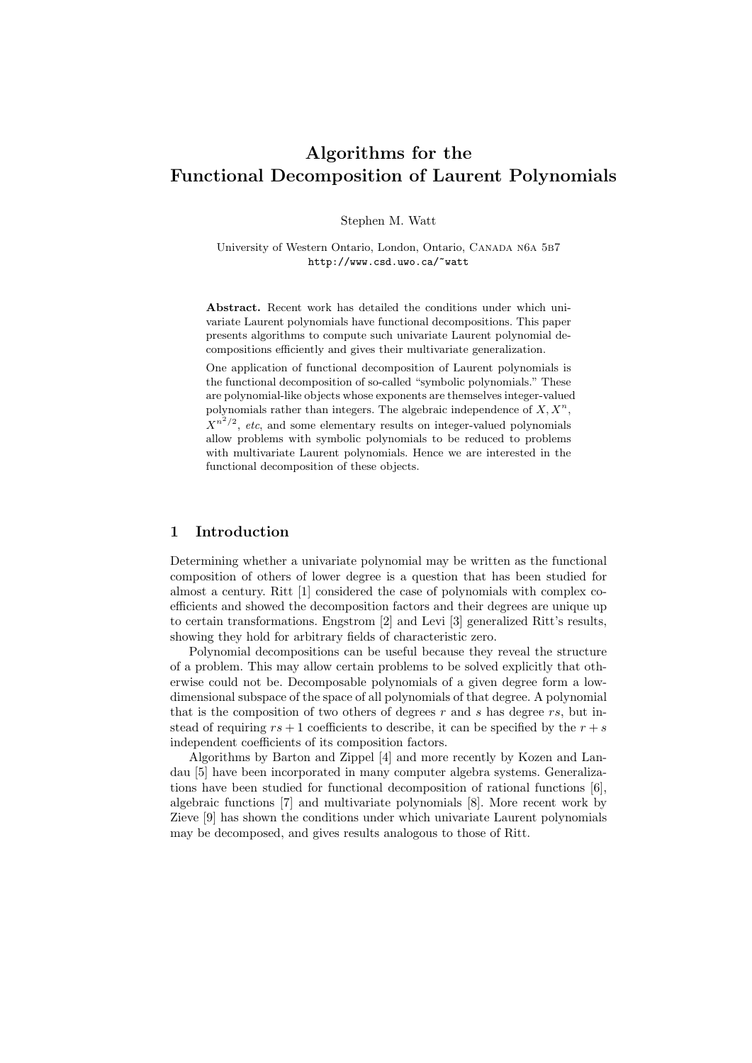# Algorithms for the Functional Decomposition of Laurent Polynomials

Stephen M. Watt

University of Western Ontario, London, Ontario, CANADA N6A 5B7 http://www.csd.uwo.ca/~watt

Abstract. Recent work has detailed the conditions under which univariate Laurent polynomials have functional decompositions. This paper presents algorithms to compute such univariate Laurent polynomial decompositions efficiently and gives their multivariate generalization.

One application of functional decomposition of Laurent polynomials is the functional decomposition of so-called "symbolic polynomials." These are polynomial-like objects whose exponents are themselves integer-valued polynomials rather than integers. The algebraic independence of  $X, X^n$ ,  $X^{n^2/2}$ , etc, and some elementary results on integer-valued polynomials allow problems with symbolic polynomials to be reduced to problems with multivariate Laurent polynomials. Hence we are interested in the functional decomposition of these objects.

# 1 Introduction

Determining whether a univariate polynomial may be written as the functional composition of others of lower degree is a question that has been studied for almost a century. Ritt [1] considered the case of polynomials with complex coefficients and showed the decomposition factors and their degrees are unique up to certain transformations. Engstrom [2] and Levi [3] generalized Ritt's results, showing they hold for arbitrary fields of characteristic zero.

Polynomial decompositions can be useful because they reveal the structure of a problem. This may allow certain problems to be solved explicitly that otherwise could not be. Decomposable polynomials of a given degree form a lowdimensional subspace of the space of all polynomials of that degree. A polynomial that is the composition of two others of degrees  $r$  and  $s$  has degree  $rs$ , but instead of requiring  $rs + 1$  coefficients to describe, it can be specified by the  $r + s$ independent coefficients of its composition factors.

Algorithms by Barton and Zippel [4] and more recently by Kozen and Landau [5] have been incorporated in many computer algebra systems. Generalizations have been studied for functional decomposition of rational functions [6], algebraic functions [7] and multivariate polynomials [8]. More recent work by Zieve [9] has shown the conditions under which univariate Laurent polynomials may be decomposed, and gives results analogous to those of Ritt.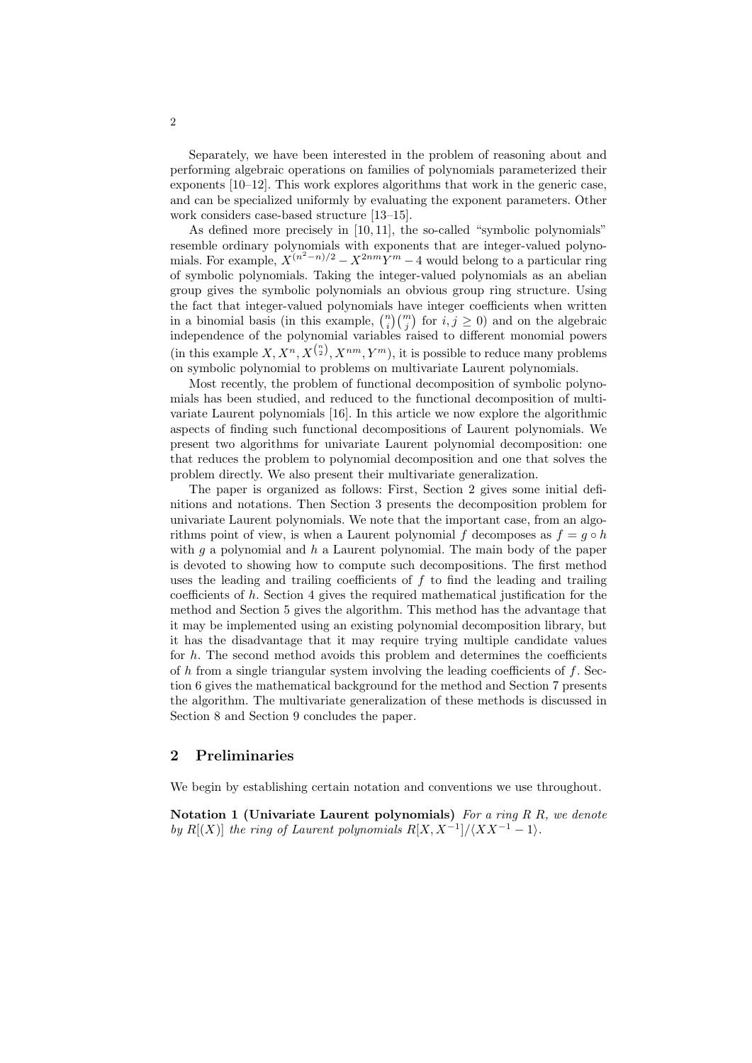Separately, we have been interested in the problem of reasoning about and performing algebraic operations on families of polynomials parameterized their exponents [10–12]. This work explores algorithms that work in the generic case, and can be specialized uniformly by evaluating the exponent parameters. Other work considers case-based structure [13–15].

As defined more precisely in [10, 11], the so-called "symbolic polynomials" resemble ordinary polynomials with exponents that are integer-valued polynomials. For example,  $X^{(n^2-n)/2} - X^{2nm}Y^m - 4$  would belong to a particular ring of symbolic polynomials. Taking the integer-valued polynomials as an abelian group gives the symbolic polynomials an obvious group ring structure. Using the fact that integer-valued polynomials have integer coefficients when written in a binomial basis (in this example,  $\binom{n}{i}\binom{m}{j}$  for  $i, j \ge 0$ ) and on the algebraic independence of the polynomial variables raised to different monomial powers (in this example  $X, X^n, X^{n \choose 2}, X^{nm}, Y^m$ ), it is possible to reduce many problems on symbolic polynomial to problems on multivariate Laurent polynomials.

Most recently, the problem of functional decomposition of symbolic polynomials has been studied, and reduced to the functional decomposition of multivariate Laurent polynomials [16]. In this article we now explore the algorithmic aspects of finding such functional decompositions of Laurent polynomials. We present two algorithms for univariate Laurent polynomial decomposition: one that reduces the problem to polynomial decomposition and one that solves the problem directly. We also present their multivariate generalization.

The paper is organized as follows: First, Section 2 gives some initial definitions and notations. Then Section 3 presents the decomposition problem for univariate Laurent polynomials. We note that the important case, from an algorithms point of view, is when a Laurent polynomial f decomposes as  $f = q \circ h$ with g a polynomial and  $h$  a Laurent polynomial. The main body of the paper is devoted to showing how to compute such decompositions. The first method uses the leading and trailing coefficients of  $f$  to find the leading and trailing coefficients of  $h$ . Section 4 gives the required mathematical justification for the method and Section 5 gives the algorithm. This method has the advantage that it may be implemented using an existing polynomial decomposition library, but it has the disadvantage that it may require trying multiple candidate values for  $h$ . The second method avoids this problem and determines the coefficients of h from a single triangular system involving the leading coefficients of  $f$ . Section 6 gives the mathematical background for the method and Section 7 presents the algorithm. The multivariate generalization of these methods is discussed in Section 8 and Section 9 concludes the paper.

#### 2 Preliminaries

We begin by establishing certain notation and conventions we use throughout.

Notation 1 (Univariate Laurent polynomials) For a ring  $R R$ , we denote by R[(X)] the ring of Laurent polynomials  $R[X, X^{-1}]/\langle XX^{-1} - 1 \rangle$ .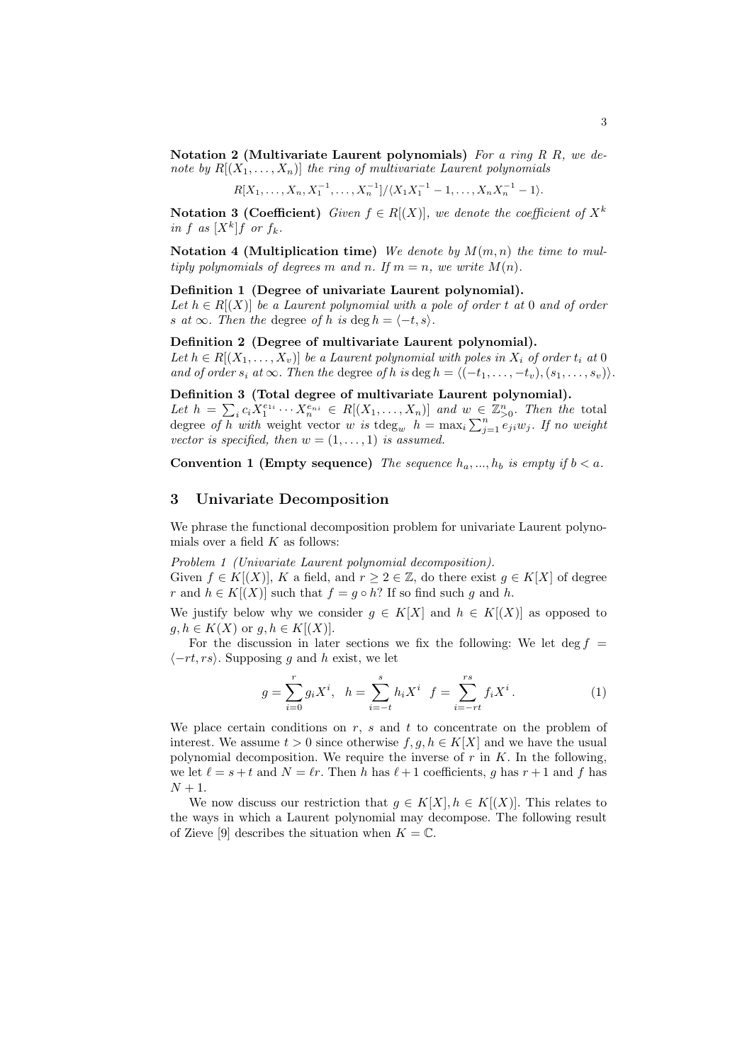Notation 2 (Multivariate Laurent polynomials) For a ring R R, we denote by  $R[(X_1, \ldots, X_n)]$  the ring of multivariate Laurent polynomials

$$
R[X_1,\ldots,X_n,X_1^{-1},\ldots,X_n^{-1}]/\langle X_1X_1^{-1}-1,\ldots,X_nX_n^{-1}-1\rangle.
$$

**Notation 3 (Coefficient)** Given  $f \in R[(X)]$ , we denote the coefficient of  $X^k$ in f as  $[X^k]$ f or  $f_k$ .

Notation 4 (Multiplication time) We denote by  $M(m, n)$  the time to multiply polynomials of degrees m and n. If  $m = n$ , we write  $M(n)$ .

#### Definition 1 (Degree of univariate Laurent polynomial).

Let  $h \in R[(X)]$  be a Laurent polynomial with a pole of order t at 0 and of order s at  $\infty$ . Then the degree of h is deg  $h = \langle -t, s \rangle$ .

#### Definition 2 (Degree of multivariate Laurent polynomial).

Let  $h \in R[(X_1,\ldots,X_v)]$  be a Laurent polynomial with poles in  $X_i$  of order  $t_i$  at 0 and of order  $s_i$  at  $\infty$ . Then the degree of h is deg  $h = \langle (-t_1, \ldots, -t_v), (s_1, \ldots, s_v) \rangle$ .

# Definition 3 (Total degree of multivariate Laurent polynomial).

Let  $h = \sum_i c_i X_1^{e_{1i}} \cdots X_n^{e_{ni}} \in R[(X_1,\ldots,X_n)]$  and  $w \in \mathbb{Z}_{\geq 0}^n$ . Then the total degree of h with weight vector w is  $\deg_w h = \max_i \sum_{j=1}^n e_{ji}w_j$ . If no weight vector is specified, then  $w = (1, \ldots, 1)$  is assumed.

Convention 1 (Empty sequence) The sequence  $h_a, ..., h_b$  is empty if  $b < a$ .

## 3 Univariate Decomposition

We phrase the functional decomposition problem for univariate Laurent polynomials over a field  $K$  as follows:

Problem 1 (Univariate Laurent polynomial decomposition).

Given  $f \in K[(X)]$ , K a field, and  $r \geq 2 \in \mathbb{Z}$ , do there exist  $g \in K[X]$  of degree r and  $h \in K[(X)]$  such that  $f = g \circ h$ ? If so find such q and h.

We justify below why we consider  $g \in K[X]$  and  $h \in K[(X)]$  as opposed to  $g, h \in K(X)$  or  $g, h \in K[(X)].$ 

For the discussion in later sections we fix the following: We let deg  $f =$  $\langle -rt, rs \rangle$ . Supposing q and h exist, we let

$$
g = \sum_{i=0}^{r} g_i X^i, \quad h = \sum_{i=-t}^{s} h_i X^i \quad f = \sum_{i=-rt}^{rs} f_i X^i.
$$
 (1)

We place certain conditions on  $r$ ,  $s$  and  $t$  to concentrate on the problem of interest. We assume  $t > 0$  since otherwise  $f, g, h \in K[X]$  and we have the usual polynomial decomposition. We require the inverse of  $r$  in  $K$ . In the following, we let  $\ell = s + t$  and  $N = \ell r$ . Then h has  $\ell + 1$  coefficients, g has  $r + 1$  and f has  $N+1$ .

We now discuss our restriction that  $g \in K[X], h \in K[(X)]$ . This relates to the ways in which a Laurent polynomial may decompose. The following result of Zieve [9] describes the situation when  $K = \mathbb{C}$ .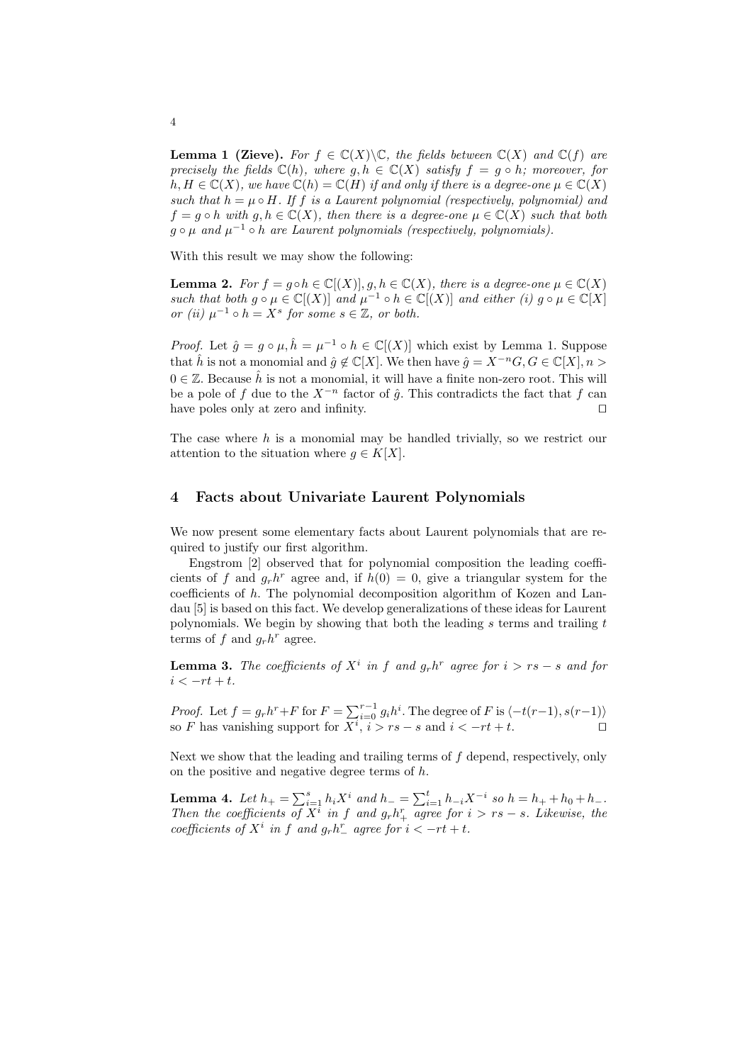**Lemma 1 (Zieve).** For  $f \in \mathbb{C}(X) \backslash \mathbb{C}$ , the fields between  $\mathbb{C}(X)$  and  $\mathbb{C}(f)$  are precisely the fields  $\mathbb{C}(h)$ , where  $g, h \in \mathbb{C}(X)$  satisfy  $f = g \circ h$ ; moreover, for  $h, H \in \mathbb{C}(X)$ , we have  $\mathbb{C}(h) = \mathbb{C}(H)$  if and only if there is a degree-one  $\mu \in \mathbb{C}(X)$ such that  $h = \mu \circ H$ . If f is a Laurent polynomial (respectively, polynomial) and  $f = g \circ h$  with  $g, h \in \mathbb{C}(X)$ , then there is a degree-one  $\mu \in \mathbb{C}(X)$  such that both  $g \circ \mu$  and  $\mu^{-1} \circ h$  are Laurent polynomials (respectively, polynomials).

With this result we may show the following:

**Lemma 2.** For  $f = g \circ h \in \mathbb{C}[(X)], g, h \in \mathbb{C}(X)$ , there is a degree-one  $\mu \in \mathbb{C}(X)$ such that both  $g \circ \mu \in \mathbb{C}[(X)]$  and  $\mu^{-1} \circ h \in \mathbb{C}[(X)]$  and either (i)  $g \circ \mu \in \mathbb{C}[X]$ or (ii)  $\mu^{-1} \circ h = X^s$  for some  $s \in \mathbb{Z}$ , or both.

*Proof.* Let  $\hat{g} = g \circ \mu, \hat{h} = \mu^{-1} \circ h \in \mathbb{C}[(X)]$  which exist by Lemma 1. Suppose that  $\hat{h}$  is not a monomial and  $\hat{g} \notin \mathbb{C}[X]$ . We then have  $\hat{g} = X^{-n}G, G \in \mathbb{C}[X], n >$  $0 \in \mathbb{Z}$ . Because  $\hat{h}$  is not a monomial, it will have a finite non-zero root. This will be a pole of f due to the  $X^{-n}$  factor of  $\hat{q}$ . This contradicts the fact that f can have poles only at zero and infinity.  $\Box$ 

The case where  $h$  is a monomial may be handled trivially, so we restrict our attention to the situation where  $g \in K[X]$ .

## 4 Facts about Univariate Laurent Polynomials

We now present some elementary facts about Laurent polynomials that are required to justify our first algorithm.

Engstrom [2] observed that for polynomial composition the leading coefficients of f and  $g_r h^r$  agree and, if  $h(0) = 0$ , give a triangular system for the coefficients of h. The polynomial decomposition algorithm of Kozen and Landau [5] is based on this fact. We develop generalizations of these ideas for Laurent polynomials. We begin by showing that both the leading s terms and trailing  $t$ terms of f and  $g_r h^r$  agree.

**Lemma 3.** The coefficients of  $X^i$  in f and  $g_r h^r$  agree for  $i > rs - s$  and for  $i < -rt + t$ .

*Proof.* Let  $f = g_r h^r + F$  for  $F = \sum_{i=0}^{r-1} g_i h^i$ . The degree of F is  $\langle -t(r-1), s(r-1) \rangle$ so F has vanishing support for  $X^i$ ,  $i > rs - s$  and  $i < -rt + t$ .

Next we show that the leading and trailing terms of  $f$  depend, respectively, only on the positive and negative degree terms of  $h$ .

**Lemma 4.** Let  $h_+ = \sum_{i=1}^s h_i X^i$  and  $h_- = \sum_{i=1}^t h_{-i} X^{-i}$  so  $h = h_+ + h_0 + h_-$ . Then the coefficients of  $X^{\bar{i}}$  in f and  $g_r h^r_+$  agree for  $i > rs - s$ . Likewise, the coefficients of  $X^i$  in f and  $g_r h^r$  agree for  $i < -rt + t$ .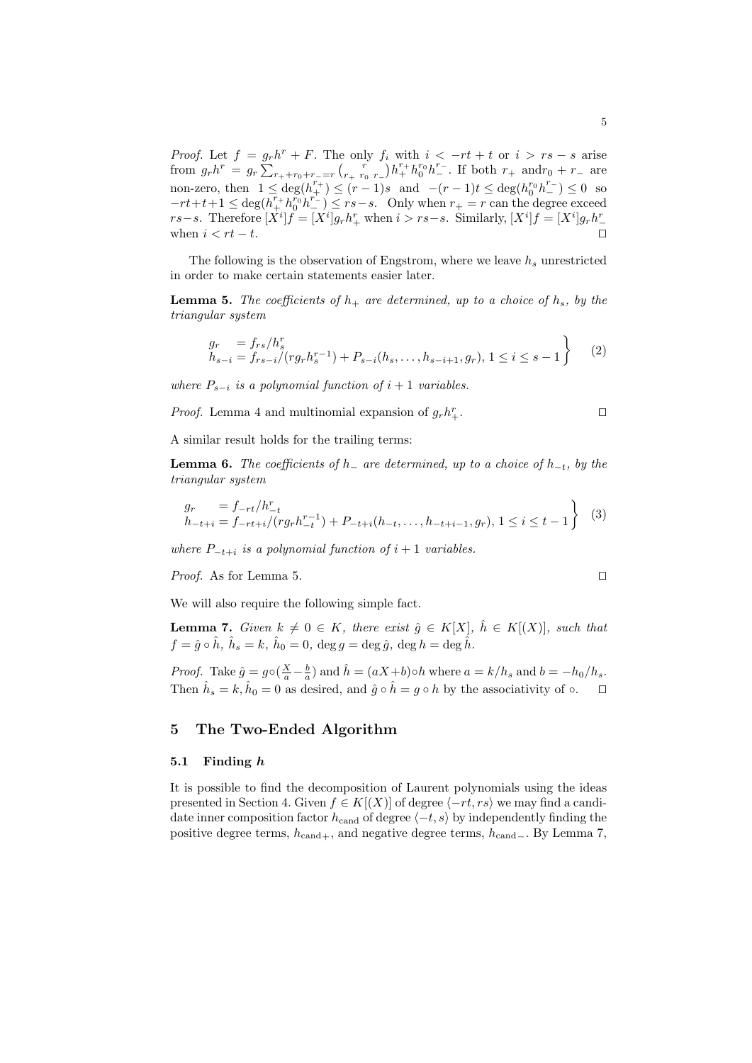*Proof.* Let  $f = g_r h^r + F$ . The only  $f_i$  with  $i < -rt + t$  or  $i > rs - s$  arise from  $g_r h^r = g_r \sum_{r_+ + r_0 + r_- = r}^{r_+} {r \choose r_+ \ r_0 \ r_-} h_+^{r_+} h_0^{r_0} h_-^{r_-}$ . If both  $r_+$  and  $r_0 + r_-$  are non-zero, then  $1 \leq \deg(h_{+}^{r_+}) \leq (r-1)s$  and  $-(r-1)t \leq \deg(h_{0}^{r_0}h_{-}^{r_-}) \leq 0$  so  $-rt+t+1 \leq \deg(\overline{h_+^r} h_0^{r_0} h_-^{r_-}) \leq rs-s.$  Only when  $r_+ = r$  can the degree exceed rs−s. Therefore  $[X^i]f = [X^i]g_r h^r_+$  when  $i > rs-s$ . Similarly,  $[X^i]f = [X^i]g_r h^r_$ when  $i < rt - t$ .

The following is the observation of Engstrom, where we leave  $h_s$  unrestricted in order to make certain statements easier later.

**Lemma 5.** The coefficients of  $h_+$  are determined, up to a choice of  $h_s$ , by the triangular system

$$
\begin{aligned}\ng_r &= f_{rs}/h_s^r \\
h_{s-i} &= f_{rs-i}/(r g_r h_s^{r-1}) + P_{s-i}(h_s, \dots, h_{s-i+1}, g_r), \ 1 \le i \le s-1\n\end{aligned}\n\tag{2}
$$

where  $P_{s-i}$  is a polynomial function of  $i+1$  variables.

*Proof.* Lemma 4 and multinomial expansion of  $g_r h_+^r$  $\mathbb{L}$ .

A similar result holds for the trailing terms:

**Lemma 6.** The coefficients of  $h_$  are determined, up to a choice of  $h_{-t}$ , by the triangular system

$$
g_r = f_{-rt}/h_{-t}^r
$$
  
\n
$$
h_{-t+i} = f_{-rt+i}/(r g_r h_{-t}^{r-1}) + P_{-t+i}(h_{-t}, \dots, h_{-t+i-1}, g_r), 1 \le i \le t-1
$$
 (3)

where  $P_{-t+i}$  is a polynomial function of  $i+1$  variables.

*Proof.* As for Lemma 5.  $\Box$ 

We will also require the following simple fact.

**Lemma 7.** Given  $k \neq 0 \in K$ , there exist  $\hat{g} \in K[X]$ ,  $\hat{h} \in K[(X)]$ , such that  $f=\hat{g}\circ\hat{h},\ \hat{h}_{s}=k,\ \hat{h}_{0}=0,\ \deg g=\deg\hat{g},\ \deg h=\deg\hat{\hat{h}}.$ 

*Proof.* Take  $\hat{g} = g \circ (\frac{X}{a} - \frac{b}{a})$  and  $\hat{h} = (aX+b) \circ h$  where  $a = k/h_s$  and  $b = -h_0/h_s$ . Then  $\hat{h}_s = k, \hat{h}_0 = 0$  as desired, and  $\hat{g} \circ \hat{h} = g \circ h$  by the associativity of  $\circ$ .

# 5 The Two-Ended Algorithm

#### 5.1 Finding h

It is possible to find the decomposition of Laurent polynomials using the ideas presented in Section 4. Given  $f \in K[(X)]$  of degree  $\langle -rt, rs \rangle$  we may find a candidate inner composition factor  $h_{\text{cand}}$  of degree  $\langle -t, s \rangle$  by independently finding the positive degree terms,  $h_{\text{cand}+}$ , and negative degree terms,  $h_{\text{cand}-}$ . By Lemma 7,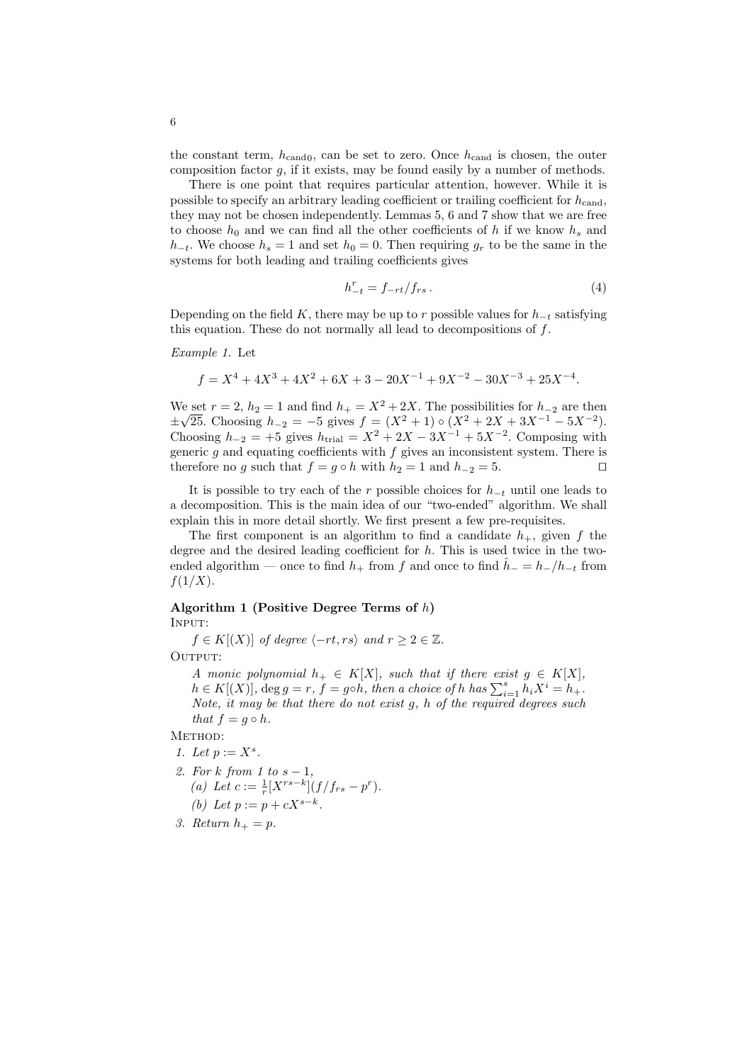the constant term,  $h_{\text{cand}}$ , can be set to zero. Once  $h_{\text{cand}}$  is chosen, the outer composition factor  $g$ , if it exists, may be found easily by a number of methods.

There is one point that requires particular attention, however. While it is possible to specify an arbitrary leading coefficient or trailing coefficient for  $h_{\text{cand}}$ , they may not be chosen independently. Lemmas 5, 6 and 7 show that we are free to choose  $h_0$  and we can find all the other coefficients of h if we know  $h_s$  and  $h_{-t}$ . We choose  $h_s = 1$  and set  $h_0 = 0$ . Then requiring  $g_r$  to be the same in the systems for both leading and trailing coefficients gives

$$
h_{-t}^r = f_{-rt}/f_{rs} \,. \tag{4}
$$

Depending on the field K, there may be up to r possible values for  $h_{-t}$  satisfying this equation. These do not normally all lead to decompositions of  $f$ .

Example 1. Let

$$
f = X^4 + 4X^3 + 4X^2 + 6X + 3 - 20X^{-1} + 9X^{-2} - 30X^{-3} + 25X^{-4}.
$$

We set  $r = 2$ ,  $h_2 = 1$  and find  $h_+ = X^2 + 2X$ . The possibilities for  $h_{-2}$  are then  $\pm\sqrt{25}$ . Choosing  $h_{-2} = -5$  gives  $f = (X^2 + 1) \circ (X^2 + 2X + 3X^{-1} - 5X^{-2})$ . Choosing  $h_{-2} = +5$  gives  $h_{\text{trial}} = X^2 + 2X - 3X^{-1} + 5X^{-2}$ . Composing with generic  $g$  and equating coefficients with  $f$  gives an inconsistent system. There is therefore no g such that  $f = g \circ h$  with  $h_2 = 1$  and  $h_{-2} = 5$ .

It is possible to try each of the r possible choices for  $h_{-t}$  until one leads to a decomposition. This is the main idea of our "two-ended" algorithm. We shall explain this in more detail shortly. We first present a few pre-requisites.

The first component is an algorithm to find a candidate  $h_{+}$ , given f the degree and the desired leading coefficient for  $h$ . This is used twice in the twoended algorithm — once to find  $h_+$  from f and once to find  $h_-=h_-/h_{-t}$  from  $f(1/X)$ .

# Algorithm 1 (Positive Degree Terms of h) Input:

 $f \in K[(X)]$  of degree  $\langle -rt, rs \rangle$  and  $r \geq 2 \in \mathbb{Z}$ . OUTPUT:

A monic polynomial  $h_+ \in K[X]$ , such that if there exist  $g \in K[X]$ ,  $h \in K[(X)]$ , deg  $g = r$ ,  $f = g \circ h$ , then a choice of h has  $\sum_{i=1}^{s} h_i X^i = h_+$ . Note, it may be that there do not exist g, h of the required degrees such that  $f = g \circ h$ .

METHOD:

- 1. Let  $p := X^s$ .
- 2. For k from 1 to  $s-1$ , (a) Let  $c := \frac{1}{r} [X^{rs-k}] (f/f_{rs} - p^r).$ (b) Let  $p := p + cX^{s-k}$ .
- 3. Return  $h_+ = p$ .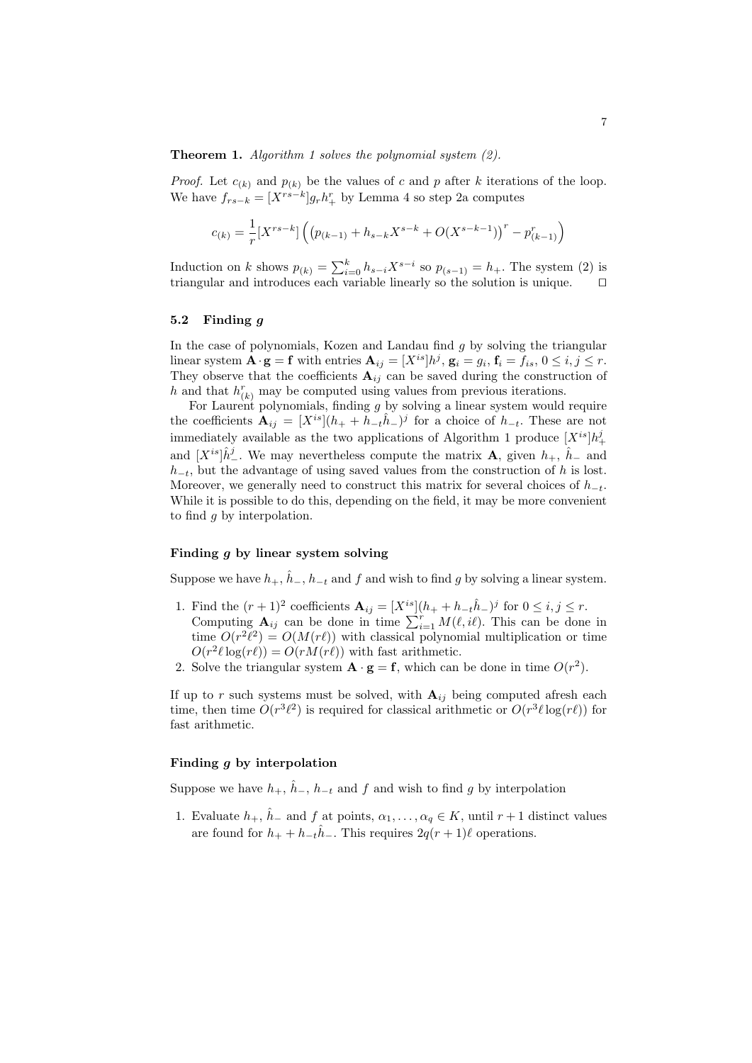**Theorem 1.** Algorithm 1 solves the polynomial system  $(2)$ .

*Proof.* Let  $c_{(k)}$  and  $p_{(k)}$  be the values of c and p after k iterations of the loop. We have  $f_{rs-k} = [X^{rs-k}]g_r h_+^r$  by Lemma 4 so step 2a computes

$$
c_{(k)} = \frac{1}{r} [X^{rs-k}] \left( \left( p_{(k-1)} + h_{s-k} X^{s-k} + O(X^{s-k-1}) \right)^r - p_{(k-1)}^r \right)
$$

Induction on k shows  $p_{(k)} = \sum_{i=0}^{k} h_{s-i} X^{s-i}$  so  $p_{(s-1)} = h_+$ . The system (2) is triangular and introduces each variable linearly so the solution is unique.  $\Box$ 

#### 5.2 Finding g

In the case of polynomials, Kozen and Landau find  $q$  by solving the triangular linear system  $\mathbf{A} \cdot \mathbf{g} = \mathbf{f}$  with entries  $\mathbf{A}_{ij} = [X^{is}] h^j$ ,  $\mathbf{g}_i = g_i$ ,  $\mathbf{f}_i = f_{is}$ ,  $0 \le i, j \le r$ . They observe that the coefficients  $A_{ij}$  can be saved during the construction of h and that  $h_{(k)}^r$  may be computed using values from previous iterations.

For Laurent polynomials, finding  $g$  by solving a linear system would require the coefficients  $\mathbf{A}_{ij} = [X^{is}](h_+ + h_{-t}\hat{h}_-)^j$  for a choice of  $h_{-t}$ . These are not immediately available as the two applications of Algorithm 1 produce  $[X^{is}]h_+^j$ and  $[X^{is}]\hat{h}^j_-\$ . We may nevertheless compute the matrix **A**, given  $h_+$ ,  $\hat{h}_-$  and  $h_{-t}$ , but the advantage of using saved values from the construction of h is lost. Moreover, we generally need to construct this matrix for several choices of  $h_{-t}$ . While it is possible to do this, depending on the field, it may be more convenient to find  $g$  by interpolation.

## Finding g by linear system solving

Suppose we have  $h_+$ ,  $\hat{h}_-$ ,  $h_{-t}$  and f and wish to find g by solving a linear system.

- 1. Find the  $(r+1)^2$  coefficients  $\mathbf{A}_{ij} = [X^{is}](h_+ + h_{-t}\hat{h}_-)^j$  for  $0 \le i, j \le r$ . Computing  $\mathbf{A}_{ij}$  can be done in time  $\sum_{i=1}^{r} M(\ell, i\ell)$ . This can be done in time  $O(r^2\ell^2) = O(M(r\ell))$  with classical polynomial multiplication or time  $O(r^2\ell \log(r\ell)) = O(rM(r\ell))$  with fast arithmetic.
- 2. Solve the triangular system  $\mathbf{A} \cdot \mathbf{g} = \mathbf{f}$ , which can be done in time  $O(r^2)$ .

If up to r such systems must be solved, with  $A_{ij}$  being computed afresh each time, then time  $O(r^3\ell^2)$  is required for classical arithmetic or  $O(r^3\ell \log(r\ell))$  for fast arithmetic.

#### Finding g by interpolation

Suppose we have  $h_+$ ,  $\bar{h}_-, h_{-t}$  and f and wish to find g by interpolation

1. Evaluate  $h_+$ ,  $\hat{h}_-$  and f at points,  $\alpha_1, \ldots, \alpha_q \in K$ , until  $r+1$  distinct values are found for  $h_+ + h_{-t}\hat{h}_-$ . This requires  $2q(r + 1)\ell$  operations.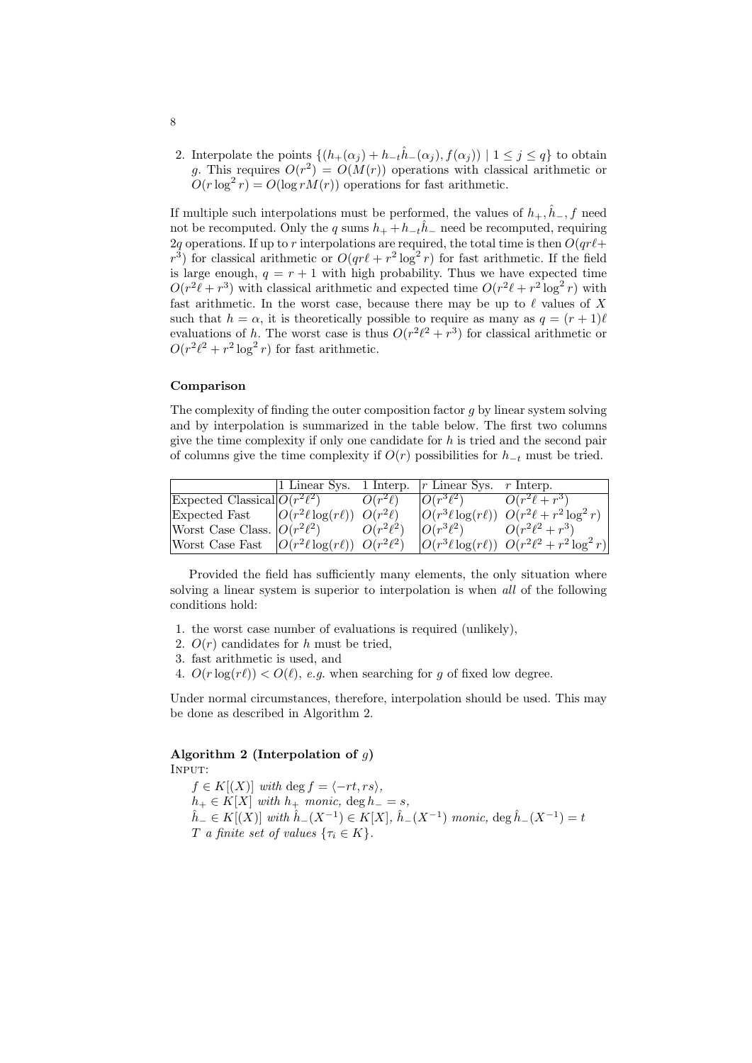2. Interpolate the points  $\{(h_{+}(\alpha_j) + h_{-t}\hat{h}_{-}(\alpha_j), f(\alpha_j)) \mid 1 \leq j \leq q\}$  to obtain g. This requires  $O(r^2) = O(M(r))$  operations with classical arithmetic or  $O(r \log^2 r) = O(\log r M(r))$  operations for fast arithmetic.

If multiple such interpolations must be performed, the values of  $h_+$ ,  $\hat{h}_-, f$  need not be recomputed. Only the q sums  $h_{+} + h_{-t}\hat{h}_{-}$  need be recomputed, requiring 2q operations. If up to r interpolations are required, the total time is then  $O(qr\ell+$  $r^3$ ) for classical arithmetic or  $O(qr\ell + r^2 \log^2 r)$  for fast arithmetic. If the field is large enough,  $q = r + 1$  with high probability. Thus we have expected time  $O(r^2\ell + r^3)$  with classical arithmetic and expected time  $O(r^2\ell + r^2\log^2 r)$  with fast arithmetic. In the worst case, because there may be up to  $\ell$  values of X such that  $h = \alpha$ , it is theoretically possible to require as many as  $q = (r + 1)\ell$ evaluations of h. The worst case is thus  $O(r^2\ell^2 + r^3)$  for classical arithmetic or  $O(r^2\ell^2 + r^2\log^2 r)$  for fast arithmetic.

#### Comparison

The complexity of finding the outer composition factor  $q$  by linear system solving and by interpolation is summarized in the table below. The first two columns give the time complexity if only one candidate for  $h$  is tried and the second pair of columns give the time complexity if  $O(r)$  possibilities for  $h_{-t}$  must be tried.

|                                                         |                         | 1 Linear Sys. 1 Interp. $ r$ Linear Sys. r Interp. |                                                         |
|---------------------------------------------------------|-------------------------|----------------------------------------------------|---------------------------------------------------------|
| Expected Classical $O(r^2\ell^2)$                       | $O(\overline{r^2\ell})$ | $O(r^3\ell^2)$                                     | $O(r^2\ell+r^3)$                                        |
| Expected Fast $ O(r^2\ell \log(r\ell))  O(r^2\ell)$     |                         |                                                    | $ O(r^3\ell \log(r\ell))  O(r^2\ell + r^2 \log^2 r)$    |
| Worst Case Class. $ O(r^2\ell^2) $                      | $O(r^2\ell^2)$          | $O(r^3\ell^2)$                                     | $O(r^2\ell^2 + r^3)$                                    |
| Worst Case Fast $ O(r^2\ell \log(r\ell))  O(r^2\ell^2)$ |                         |                                                    | $ O(r^3\ell \log(r\ell))  O(r^2\ell^2 + r^2 \log^2 r) $ |

Provided the field has sufficiently many elements, the only situation where solving a linear system is superior to interpolation is when all of the following conditions hold:

- 1. the worst case number of evaluations is required (unlikely),
- 2.  $O(r)$  candidates for h must be tried,
- 3. fast arithmetic is used, and
- 4.  $O(r \log(r\ell)) < O(\ell)$ , e.g. when searching for g of fixed low degree.

Under normal circumstances, therefore, interpolation should be used. This may be done as described in Algorithm 2.

#### Algorithm 2 (Interpolation of  $q$ ) INPUT:

 $f \in K[(X)]$  with deg  $f = \langle -rt, rs \rangle$ ,  $h_+ \in K[X]$  with  $h_+$  monic,  $\deg h_- = s$ ,  $\hat{h}$ <sub>−</sub> ∈ K[(X)] with  $\hat{h}$ <sub>−</sub>(X<sup>-1</sup>) ∈ K[X],  $\hat{h}$ <sub>−</sub>(X<sup>-1</sup>) monic, deg  $\hat{h}$ <sub>−</sub>(X<sup>-1</sup>) = t T a finite set of values  $\{\tau_i \in K\}$ .

8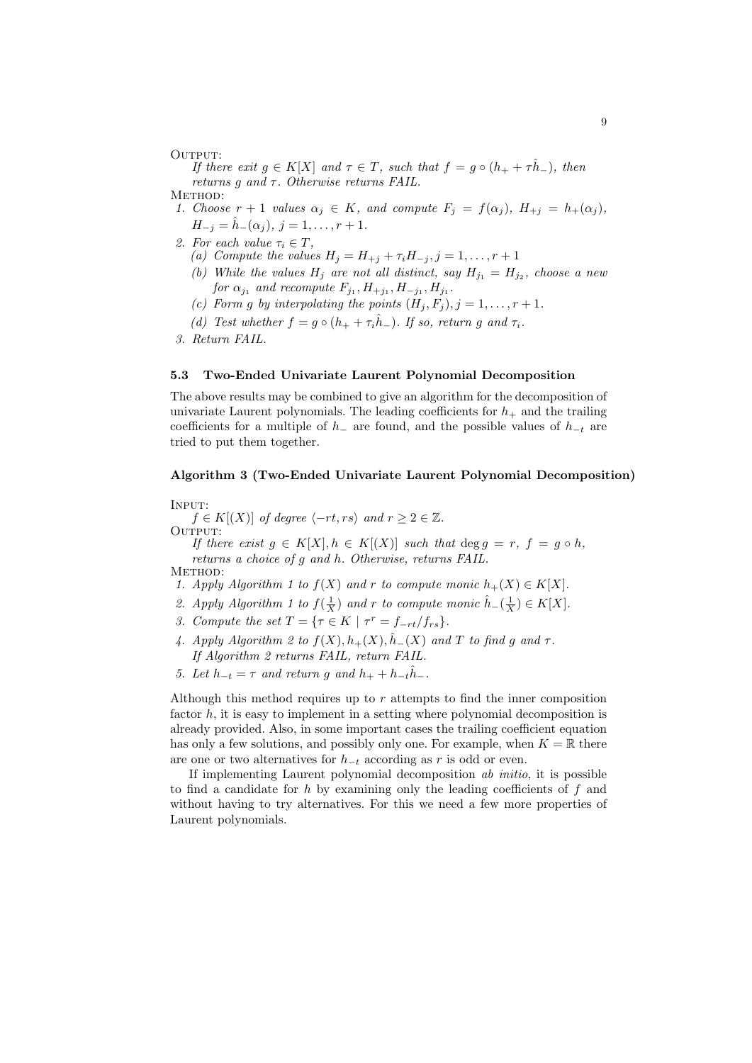OUTPUT:

If there exit  $g \in K[X]$  and  $\tau \in T$ , such that  $f = g \circ (h_+ + \tau \hat{h}_-)$ , then returns g and  $\tau$ . Otherwise returns FAIL.

METHOD:

- 1. Choose  $r + 1$  values  $\alpha_j \in K$ , and compute  $F_j = f(\alpha_j)$ ,  $H_{+j} = h_+(\alpha_j)$ ,  $H_{-j} = \hat{h}_-(\alpha_j), j = 1, \ldots, r+1.$
- 2. For each value  $\tau_i \in T$ ,
	- (a) Compute the values  $H_j = H_{+j} + \tau_i H_{-j}, j = 1, \ldots, r + 1$
	- (b) While the values  $H_j$  are not all distinct, say  $H_{j_1} = H_{j_2}$ , choose a neu for  $\alpha_{j_1}$  and recompute  $F_{j_1}, H_{+j_1}, H_{-j_1}, H_{j_1}$ .
	- (c) Form q by interpolating the points  $(H_i, F_i), j = 1, \ldots, r + 1$ .
	- (d) Test whether  $f = g \circ (h_+ + \tau_i \hat{h}_-)$ . If so, return g and  $\tau_i$ .

3. Return FAIL.

### 5.3 Two-Ended Univariate Laurent Polynomial Decomposition

The above results may be combined to give an algorithm for the decomposition of univariate Laurent polynomials. The leading coefficients for  $h_+$  and the trailing coefficients for a multiple of  $h_-\$ are found, and the possible values of  $h_{-t}$  are tried to put them together.

## Algorithm 3 (Two-Ended Univariate Laurent Polynomial Decomposition)

INPUT:

 $f \in K[(X)]$  of degree  $\langle -rt, rs \rangle$  and  $r \geq 2 \in \mathbb{Z}$ . OUTPUT:

If there exist  $g \in K[X], h \in K[(X)]$  such that  $\deg g = r, f = g \circ h$ , returns a choice of g and h. Otherwise, returns FAIL. METHOD:

- 1. Apply Algorithm 1 to  $f(X)$  and r to compute monic  $h_+(X) \in K[X]$ .
- 2. Apply Algorithm 1 to  $f(\frac{1}{X})$  and r to compute monic  $\hat{h}_{-}(\frac{1}{X}) \in K[X]$ .
- 3. Compute the set  $T = \{ \tau \in K \mid \tau^r = f_{-rt}/f_{rs} \}.$
- 4. Apply Algorithm 2 to  $f(X), h_+(X), \hat{h}_-(X)$  and T to find g and  $\tau$ . If Algorithm 2 returns FAIL, return FAIL.
- 5. Let  $h_{-t} = \tau$  and return g and  $h_{+} + h_{-t} \hat{h}_{-}$ .

Although this method requires up to  $r$  attempts to find the inner composition factor  $h$ , it is easy to implement in a setting where polynomial decomposition is already provided. Also, in some important cases the trailing coefficient equation has only a few solutions, and possibly only one. For example, when  $K = \mathbb{R}$  there are one or two alternatives for  $h_{-t}$  according as r is odd or even.

If implementing Laurent polynomial decomposition ab initio, it is possible to find a candidate for h by examining only the leading coefficients of  $f$  and without having to try alternatives. For this we need a few more properties of Laurent polynomials.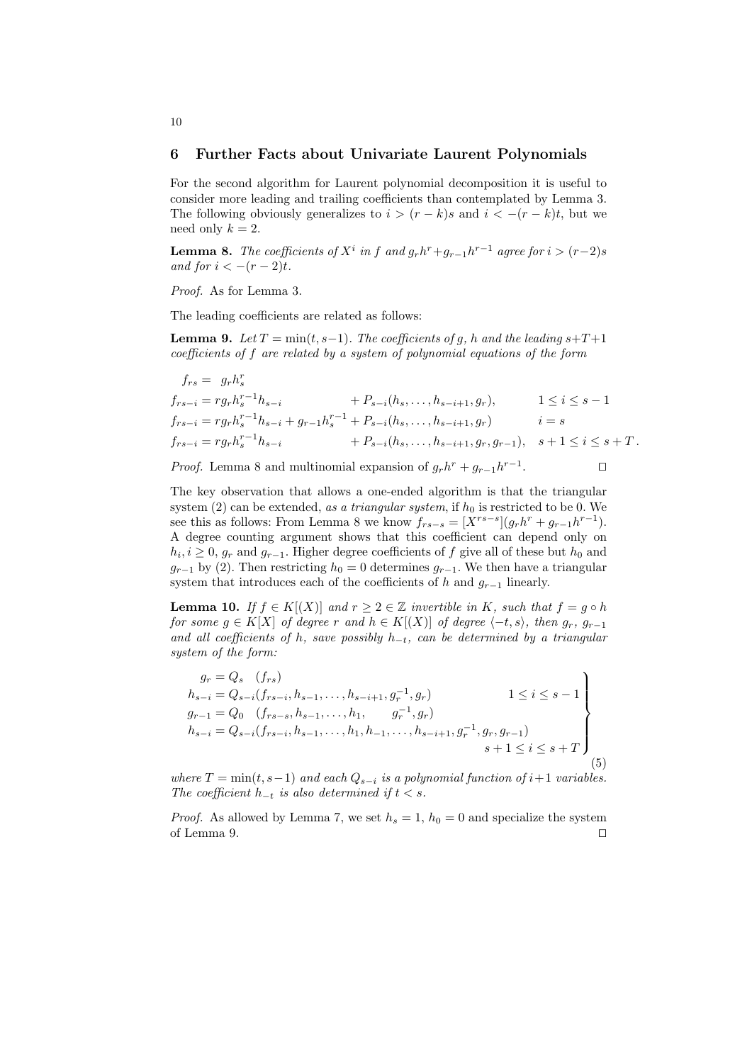### 6 Further Facts about Univariate Laurent Polynomials

For the second algorithm for Laurent polynomial decomposition it is useful to consider more leading and trailing coefficients than contemplated by Lemma 3. The following obviously generalizes to  $i > (r - k)s$  and  $i < -(r - k)t$ , but we need only  $k = 2$ .

**Lemma 8.** The coefficients of  $X^i$  in f and  $g_r h^r + g_{r-1} h^{r-1}$  agree for  $i > (r-2)s$ and for  $i < -(r-2)t$ .

Proof. As for Lemma 3.

The leading coefficients are related as follows:

**Lemma 9.** Let  $T = min(t, s-1)$ . The coefficients of g, h and the leading  $s+T+1$ coefficients of f are related by a system of polynomial equations of the form

$$
f_{rs} = g_r h_s^r
$$
  
\n
$$
f_{rs-i} = r g_r h_s^{r-1} h_{s-i} + P_{s-i} (h_s, \dots, h_{s-i+1}, g_r), \t 1 \le i \le s-1
$$
  
\n
$$
f_{rs-i} = r g_r h_s^{r-1} h_{s-i} + g_{r-1} h_s^{r-1} + P_{s-i} (h_s, \dots, h_{s-i+1}, g_r) \t i = s
$$
  
\n
$$
f_{rs-i} = r g_r h_s^{r-1} h_{s-i} + P_{s-i} (h_s, \dots, h_{s-i+1}, g_r, g_{r-1}), \t s+1 \le i \le s+T.
$$

*Proof.* Lemma 8 and multinomial expansion of  $g_r h^r + g_{r-1} h^{r-1}$  $\Box$ 

The key observation that allows a one-ended algorithm is that the triangular system  $(2)$  can be extended, as a triangular system, if  $h_0$  is restricted to be 0. We see this as follows: From Lemma 8 we know  $f_{rs-s} = [X^{rs-s}](g_r h^r + g_{r-1} h^{r-1}).$ A degree counting argument shows that this coefficient can depend only on  $h_i, i \geq 0, g_r$  and  $g_{r-1}$ . Higher degree coefficients of f give all of these but  $h_0$  and  $g_{r-1}$  by (2). Then restricting  $h_0 = 0$  determines  $g_{r-1}$ . We then have a triangular system that introduces each of the coefficients of h and  $g_{r-1}$  linearly.

**Lemma 10.** If  $f \in K[(X)]$  and  $r \geq 2 \in \mathbb{Z}$  invertible in K, such that  $f = g \circ h$ for some  $g \in K[X]$  of degree r and  $h \in K[(X)]$  of degree  $\langle -t, s \rangle$ , then  $g_r$ ,  $g_{r-1}$ and all coefficients of h, save possibly  $h_{-t}$ , can be determined by a triangular system of the form:

$$
g_r = Q_s \t(f_{rs})
$$
  
\n
$$
h_{s-i} = Q_{s-i}(f_{rs-i}, h_{s-1}, \dots, h_{s-i+1}, g_r^{-1}, g_r)
$$
  
\n
$$
g_{r-1} = Q_0 \t(f_{rs-s}, h_{s-1}, \dots, h_1, g_r^{-1}, g_r)
$$
  
\n
$$
h_{s-i} = Q_{s-i}(f_{rs-i}, h_{s-1}, \dots, h_1, h_{-1}, \dots, h_{s-i+1}, g_r^{-1}, g_r, g_{r-1})
$$
  
\n
$$
s+1 \le i \le s+T
$$
\n(5)

where  $T = \min(t, s-1)$  and each  $Q_{s-i}$  is a polynomial function of i+1 variables. The coefficient  $h_{-t}$  is also determined if  $t < s$ .

*Proof.* As allowed by Lemma 7, we set  $h_s = 1$ ,  $h_0 = 0$  and specialize the system of Lemma 9.  $\Box$ 

### 10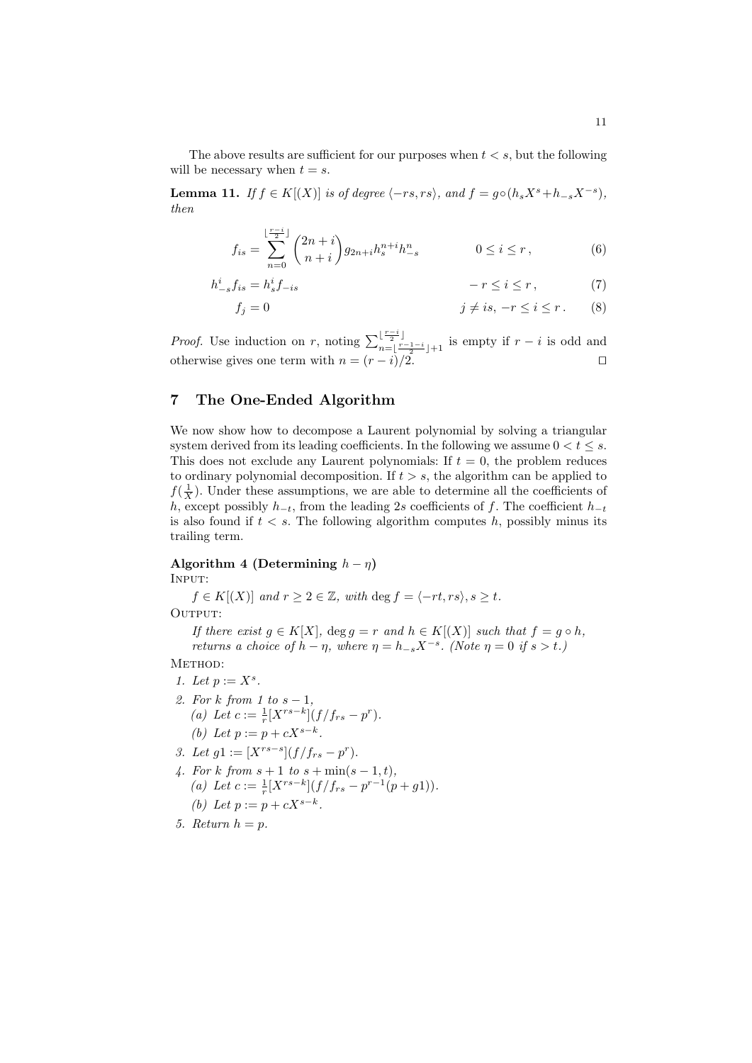The above results are sufficient for our purposes when  $t < s$ , but the following will be necessary when  $t = s$ .

**Lemma 11.** If  $f \in K[(X)]$  is of degree  $\langle -rs, rs \rangle$ , and  $f = g \circ (h_s X^s + h_{-s} X^{-s})$ , then

$$
f_{is} = \sum_{n=0}^{\lfloor \frac{r-i}{2} \rfloor} \binom{2n+i}{n+i} g_{2n+i} h_s^{n+i} h_{-s}^n \qquad 0 \le i \le r, \qquad (6)
$$

$$
h_{-s}^{i}f_{is} = h_{s}^{i}f_{-is} \qquad \qquad -r \leq i \leq r \,, \tag{7}
$$

$$
f_j = 0 \qquad \qquad j \neq is, \ -r \leq i \leq r \,. \tag{8}
$$

*Proof.* Use induction on r, noting  $\sum_{r=1}^{\lfloor \frac{r-i}{2} \rfloor}$  $\prod_{n=\lfloor \frac{r-1-i}{2} \rfloor+1}^{\lfloor \frac{r}{2} \rfloor}$  is empty if  $r-i$  is odd and otherwise gives one term with  $n = (r - i)/2$ .

# 7 The One-Ended Algorithm

We now show how to decompose a Laurent polynomial by solving a triangular system derived from its leading coefficients. In the following we assume  $0 < t \leq s$ . This does not exclude any Laurent polynomials: If  $t = 0$ , the problem reduces to ordinary polynomial decomposition. If  $t > s$ , the algorithm can be applied to  $f(\frac{1}{X})$ . Under these assumptions, we are able to determine all the coefficients of h, except possibly  $h_{-t}$ , from the leading 2s coefficients of f. The coefficient  $h_{-t}$ is also found if  $t < s$ . The following algorithm computes h, possibly minus its trailing term.

# Algorithm 4 (Determining  $h - \eta$ )

Input:

 $f \in K[(X)]$  and  $r \geq 2 \in \mathbb{Z}$ , with deg  $f = \langle -rt, rs \rangle$ ,  $s \geq t$ .

OUTPUT:

If there exist  $g \in K[X]$ ,  $\deg g = r$  and  $h \in K[(X)]$  such that  $f = g \circ h$ , returns a choice of  $h - \eta$ , where  $\eta = h_{-s}X^{-s}$ . (Note  $\eta = 0$  if  $s > t$ .)

METHOD:

- 1. Let  $p := X^s$ . 2. For k from 1 to  $s-1$ ,
	- (a) Let  $c := \frac{1}{r} [X^{rs-k}] (f/f_{rs} p^r).$ (b) Let  $p := p + cX^{s-k}$ .
- 3. Let  $g1 := [X^{rs-s}](f/f_{rs} p^r).$
- 4. For k from  $s + 1$  to  $s + \min(s 1, t)$ , (a) Let  $c := \frac{1}{r} [X^{rs-k}] (f/f_{rs} - p^{r-1}(p+g1)).$ (b) Let  $p := p + cX^{s-k}$ .
- 5. Return  $h = p$ .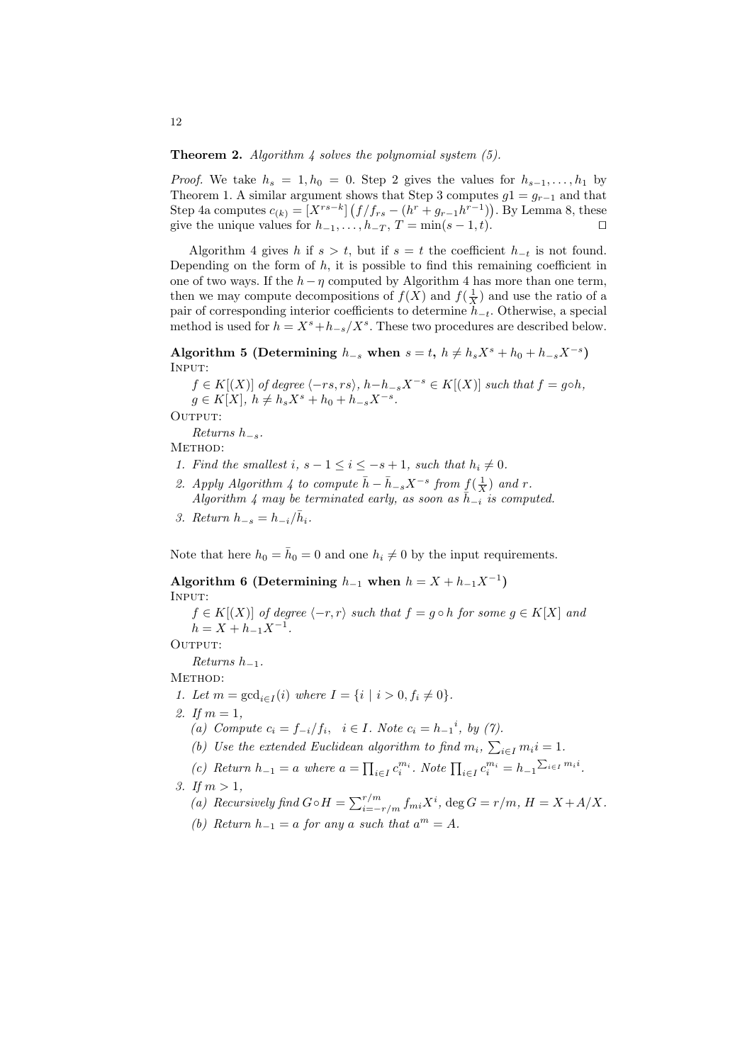**Theorem 2.** Algorithm 4 solves the polynomial system  $(5)$ .

*Proof.* We take  $h_s = 1, h_0 = 0$ . Step 2 gives the values for  $h_{s-1}, \ldots, h_1$  by Theorem 1. A similar argument shows that Step 3 computes  $g1 = g_{r-1}$  and that Step 4a computes  $c_{(k)} = [X^{rs-k}] (f/f_{rs} - (h^r + g_{r-1}h^{r-1}))$ . By Lemma 8, these give the unique values for  $h_{-1}, \ldots, h_{-T}, T = \min(s - 1, t)$ .

Algorithm 4 gives h if  $s > t$ , but if  $s = t$  the coefficient  $h_{-t}$  is not found. Depending on the form of  $h$ , it is possible to find this remaining coefficient in one of two ways. If the  $h-\eta$  computed by Algorithm 4 has more than one term, then we may compute decompositions of  $f(X)$  and  $f(\frac{1}{X})$  and use the ratio of a pair of corresponding interior coefficients to determine  $h_{-t}$ . Otherwise, a special method is used for  $h = X^s + h_{-s}/X^s$ . These two procedures are described below.

Algorithm 5 (Determining  $h_{-s}$  when  $s = t, h \neq h_s X^s + h_0 + h_{-s} X^{-s}$ ) INPUT:

 $f \in K[(X)]$  of degree  $\langle -rs, rs \rangle$ ,  $h-h_{-s}X^{-s} \in K[(X)]$  such that  $f = g \circ h$ ,  $g \in K[X], h \neq h_s X^s + h_0 + h_{-s} X^{-s}.$ 

OUTPUT:

Returns  $h_{-s}$ .

METHOD:

- 1. Find the smallest i,  $s 1 \le i \le -s + 1$ , such that  $h_i \neq 0$ .
- 2. Apply Algorithm 4 to compute  $\bar{h} \bar{h}_{-s} X^{-s}$  from  $\underline{f}(\frac{1}{X})$  and r. Algorithm 4 may be terminated early, as soon as  $\bar{h}_{-i}$  is computed.
- 3. Return  $h_{-s} = h_{-i}/\bar{h}_i$ .

Note that here  $h_0 = \bar{h}_0 = 0$  and one  $h_i \neq 0$  by the input requirements.

Algorithm 6 (Determining  $h_{-1}$  when  $h = X + h_{-1}X^{-1}$ ) Input:

 $f \in K[(X)]$  of degree  $\langle -r, r \rangle$  such that  $f = g \circ h$  for some  $g \in K[X]$  and  $h = X + h_{-1}X^{-1}.$ 

OUTPUT:

Returns  $h_{-1}$ .

METHOD:

- 1. Let  $m = \gcd_{i \in I}(i)$  where  $I = \{i \mid i > 0, f_i \neq 0\}.$
- 2. If  $m = 1$ .

(a) Compute  $c_i = f_{-i}/f_i$ ,  $i \in I$ . Note  $c_i = h_{-1}^i$ , by (7).

- (b) Use the extended Euclidean algorithm to find  $m_i$ ,  $\sum_{i \in I} m_i i = 1$ .
- (c) Return  $h_{-1} = a$  where  $a = \prod_{i \in I} c_i^{m_i}$ . Note  $\prod_{i \in I} c_i^{m_i} = h_{-1} \sum_{i \in I} m_i^{i}$ .
- 3. If  $m > 1$ .
	- (a) Recursively find  $G \circ H = \sum_{i=-r/m}^{r/m} f_{mi} X^i$ , deg  $G = r/m$ ,  $H = X + A/X$ .
	- (b) Return  $h_{-1} = a$  for any a such that  $a^m = A$ .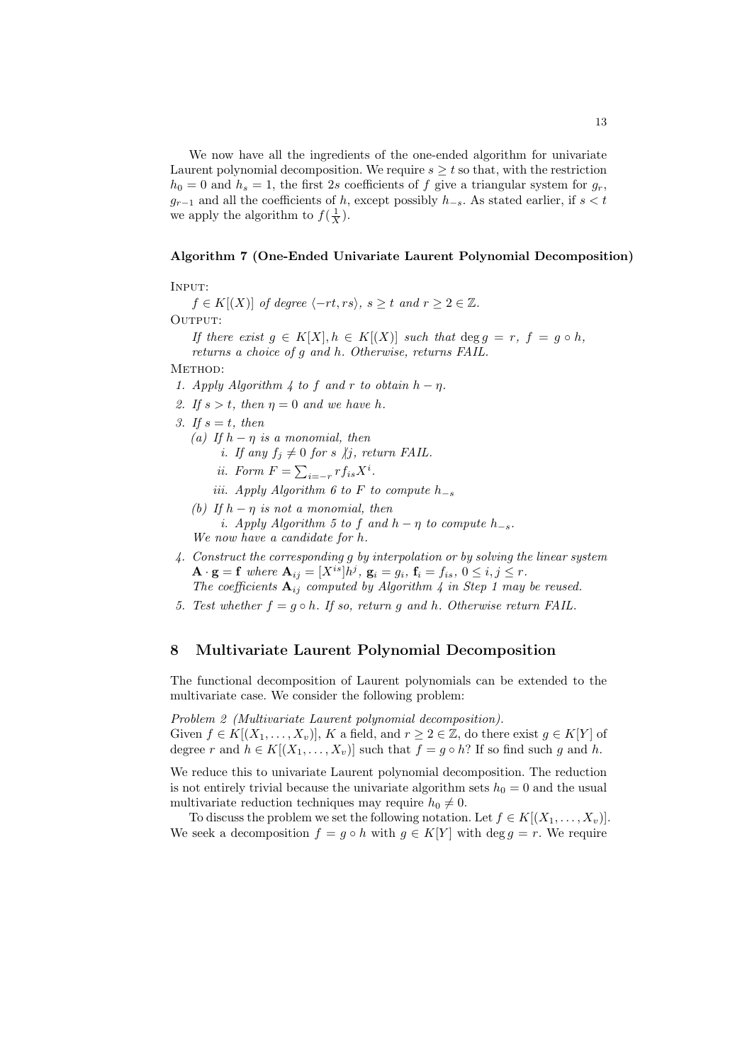We now have all the ingredients of the one-ended algorithm for univariate Laurent polynomial decomposition. We require  $s \geq t$  so that, with the restriction  $h_0 = 0$  and  $h_s = 1$ , the first 2s coefficients of f give a triangular system for  $g_r$ ,  $g_{r-1}$  and all the coefficients of h, except possibly  $h_{-s}$ . As stated earlier, if  $s < t$ we apply the algorithm to  $f(\frac{1}{X})$ .

#### Algorithm 7 (One-Ended Univariate Laurent Polynomial Decomposition)

Input:

 $f \in K[(X)]$  of degree  $\langle -rt, rs \rangle$ ,  $s \geq t$  and  $r \geq 2 \in \mathbb{Z}$ .

OUTPUT:

If there exist  $g \in K[X], h \in K[(X)]$  such that  $\deg g = r, f = g \circ h$ , returns a choice of g and h. Otherwise, returns FAIL.

METHOD:

- 1. Apply Algorithm 4 to f and r to obtain  $h \eta$ .
- 2. If  $s > t$ , then  $\eta = 0$  and we have h.
- 3. If  $s = t$ , then
	- (a) If  $h \eta$  is a monomial, then i. If any  $f_j \neq 0$  for s  $\forall j$ , return FAIL.
		- ii. Form  $F = \sum_{i=-r} r f_{is} X^i$ .
		- iii. Apply Algorithm 6 to F to compute  $h_{-s}$
	- (b) If  $h \eta$  is not a monomial, then i. Apply Algorithm 5 to f and  $h - \eta$  to compute  $h_{-s}$ . We now have a candidate for h.
- 4. Construct the corresponding g by interpolation or by solving the linear system  $\mathbf{A} \cdot \mathbf{g} = \mathbf{f}$  where  $\mathbf{A}_{ij} = [X^{is}]h^j$ ,  $\mathbf{g}_i = g_i$ ,  $\mathbf{f}_i = f_{is}$ ,  $0 \le i, j \le r$ . The coefficients  $A_{ij}$  computed by Algorithm 4 in Step 1 may be reused.
- 5. Test whether  $f = g \circ h$ . If so, return g and h. Otherwise return FAIL.

#### 8 Multivariate Laurent Polynomial Decomposition

The functional decomposition of Laurent polynomials can be extended to the multivariate case. We consider the following problem:

Problem 2 (Multivariate Laurent polynomial decomposition). Given  $f \in K[(X_1,\ldots,X_v)], K$  a field, and  $r \geq 2 \in \mathbb{Z}$ , do there exist  $g \in K[Y]$  of degree r and  $h \in K[(X_1, \ldots, X_v)]$  such that  $f = g \circ h$ ? If so find such g and h.

We reduce this to univariate Laurent polynomial decomposition. The reduction is not entirely trivial because the univariate algorithm sets  $h_0 = 0$  and the usual multivariate reduction techniques may require  $h_0 \neq 0$ .

To discuss the problem we set the following notation. Let  $f \in K[(X_1,\ldots,X_n)]$ . We seek a decomposition  $f = g \circ h$  with  $g \in K[Y]$  with  $\deg g = r$ . We require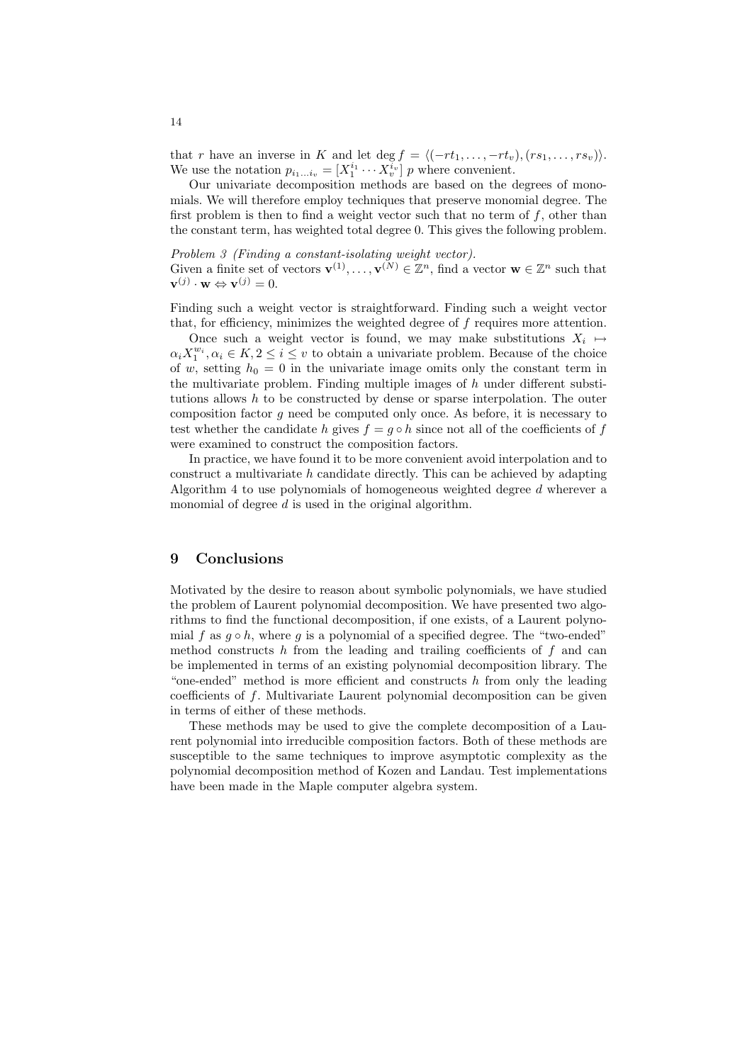that r have an inverse in K and let deg  $f = \langle (-rt_1, \ldots, -rt_v), (rs_1, \ldots, rs_v) \rangle$ . We use the notation  $p_{i_1...i_v} = [X_1^{i_1} \cdots X_v^{i_v}]$  p where convenient.

Our univariate decomposition methods are based on the degrees of monomials. We will therefore employ techniques that preserve monomial degree. The first problem is then to find a weight vector such that no term of  $f$ , other than the constant term, has weighted total degree 0. This gives the following problem.

Problem 3 (Finding a constant-isolating weight vector). Given a finite set of vectors  $\mathbf{v}^{(1)}, \ldots, \mathbf{v}^{(N)} \in \mathbb{Z}^n$ , find a vector  $\mathbf{w} \in \mathbb{Z}^n$  such that  $\mathbf{v}^{(j)} \cdot \mathbf{w} \Leftrightarrow \mathbf{v}^{(j)} = 0.$ 

Finding such a weight vector is straightforward. Finding such a weight vector that, for efficiency, minimizes the weighted degree of  $f$  requires more attention.

Once such a weight vector is found, we may make substitutions  $X_i \mapsto$  $\alpha_i X_1^{w_i}, \alpha_i \in K, 2 \leq i \leq v$  to obtain a univariate problem. Because of the choice of w, setting  $h_0 = 0$  in the univariate image omits only the constant term in the multivariate problem. Finding multiple images of  $h$  under different substitutions allows h to be constructed by dense or sparse interpolation. The outer composition factor g need be computed only once. As before, it is necessary to test whether the candidate h gives  $f = g \circ h$  since not all of the coefficients of f were examined to construct the composition factors.

In practice, we have found it to be more convenient avoid interpolation and to construct a multivariate  $h$  candidate directly. This can be achieved by adapting Algorithm 4 to use polynomials of homogeneous weighted degree d wherever a monomial of degree  $d$  is used in the original algorithm.

## 9 Conclusions

Motivated by the desire to reason about symbolic polynomials, we have studied the problem of Laurent polynomial decomposition. We have presented two algorithms to find the functional decomposition, if one exists, of a Laurent polynomial f as  $q \circ h$ , where q is a polynomial of a specified degree. The "two-ended" method constructs h from the leading and trailing coefficients of  $f$  and can be implemented in terms of an existing polynomial decomposition library. The "one-ended" method is more efficient and constructs  $h$  from only the leading coefficients of  $f$ . Multivariate Laurent polynomial decomposition can be given in terms of either of these methods.

These methods may be used to give the complete decomposition of a Laurent polynomial into irreducible composition factors. Both of these methods are susceptible to the same techniques to improve asymptotic complexity as the polynomial decomposition method of Kozen and Landau. Test implementations have been made in the Maple computer algebra system.